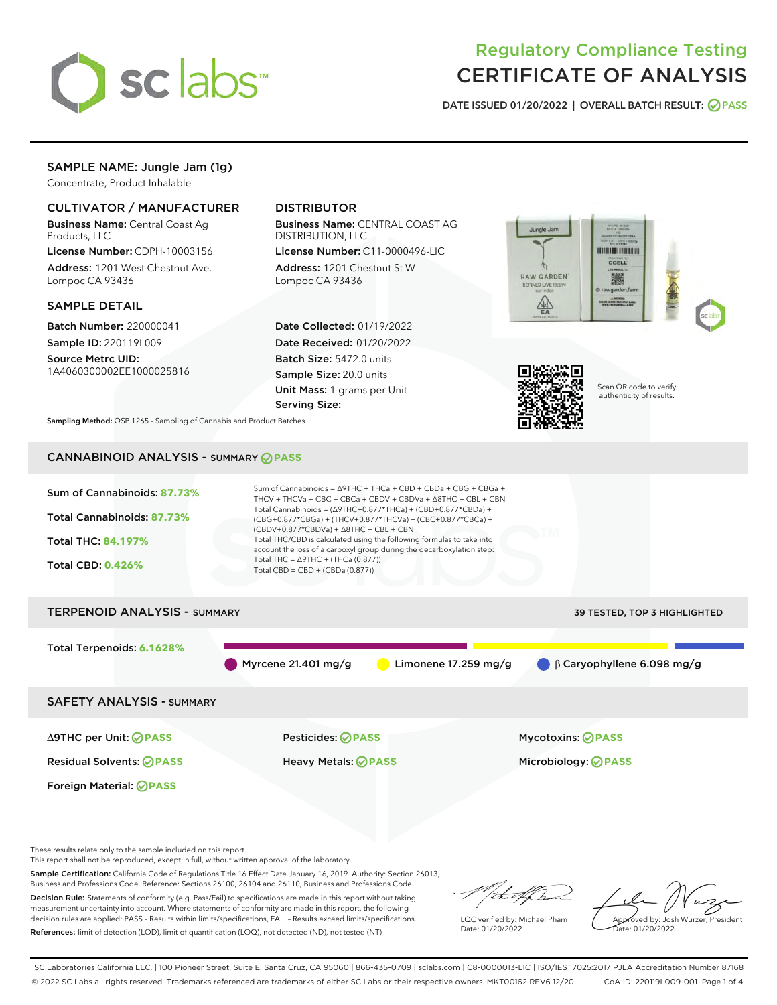

# Regulatory Compliance Testing CERTIFICATE OF ANALYSIS

DATE ISSUED 01/20/2022 | OVERALL BATCH RESULT: @ PASS

# SAMPLE NAME: Jungle Jam (1g)

Concentrate, Product Inhalable

# CULTIVATOR / MANUFACTURER

Business Name: Central Coast Ag Products, LLC

License Number: CDPH-10003156 Address: 1201 West Chestnut Ave. Lompoc CA 93436

## SAMPLE DETAIL

Batch Number: 220000041 Sample ID: 220119L009

Source Metrc UID: 1A4060300002EE1000025816

# DISTRIBUTOR

Business Name: CENTRAL COAST AG DISTRIBUTION, LLC

License Number: C11-0000496-LIC Address: 1201 Chestnut St W Lompoc CA 93436

Date Collected: 01/19/2022 Date Received: 01/20/2022 Batch Size: 5472.0 units Sample Size: 20.0 units Unit Mass: 1 grams per Unit Serving Size:





Scan QR code to verify authenticity of results.

Sampling Method: QSP 1265 - Sampling of Cannabis and Product Batches

# CANNABINOID ANALYSIS - SUMMARY **PASS**



Business and Professions Code. Reference: Sections 26100, 26104 and 26110, Business and Professions Code. Decision Rule: Statements of conformity (e.g. Pass/Fail) to specifications are made in this report without taking measurement uncertainty into account. Where statements of conformity are made in this report, the following decision rules are applied: PASS – Results within limits/specifications, FAIL – Results exceed limits/specifications. References: limit of detection (LOD), limit of quantification (LOQ), not detected (ND), not tested (NT)

that f(ha LQC verified by: Michael Pham Date: 01/20/2022

Approved by: Josh Wurzer, President ate: 01/20/2022

SC Laboratories California LLC. | 100 Pioneer Street, Suite E, Santa Cruz, CA 95060 | 866-435-0709 | sclabs.com | C8-0000013-LIC | ISO/IES 17025:2017 PJLA Accreditation Number 87168 © 2022 SC Labs all rights reserved. Trademarks referenced are trademarks of either SC Labs or their respective owners. MKT00162 REV6 12/20 CoA ID: 220119L009-001 Page 1 of 4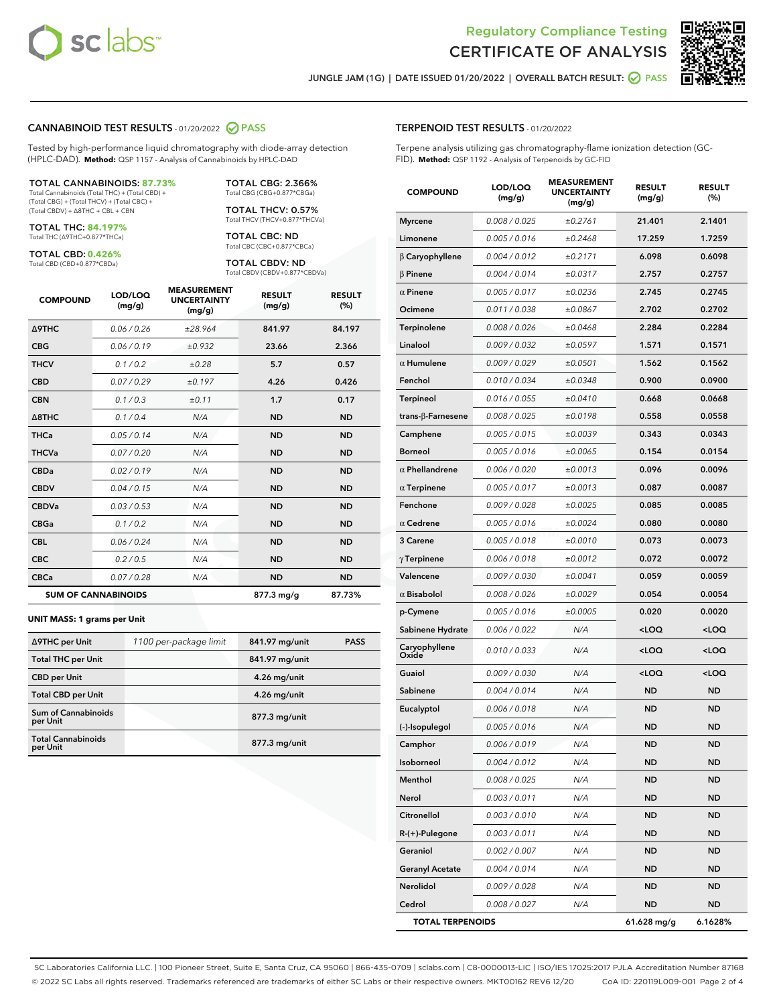



JUNGLE JAM (1G) | DATE ISSUED 01/20/2022 | OVERALL BATCH RESULT:  $\bigcirc$  PASS

### CANNABINOID TEST RESULTS - 01/20/2022 2 PASS

Tested by high-performance liquid chromatography with diode-array detection (HPLC-DAD). **Method:** QSP 1157 - Analysis of Cannabinoids by HPLC-DAD

#### TOTAL CANNABINOIDS: **87.73%**

Total Cannabinoids (Total THC) + (Total CBD) + (Total CBG) + (Total THCV) + (Total CBC) + (Total CBDV) + ∆8THC + CBL + CBN

TOTAL THC: **84.197%** Total THC (∆9THC+0.877\*THCa)

TOTAL CBD: **0.426%**

Total CBD (CBD+0.877\*CBDa)

TOTAL CBG: 2.366% Total CBG (CBG+0.877\*CBGa)

TOTAL THCV: 0.57% Total THCV (THCV+0.877\*THCVa)

TOTAL CBC: ND Total CBC (CBC+0.877\*CBCa)

TOTAL CBDV: ND Total CBDV (CBDV+0.877\*CBDVa)

| <b>COMPOUND</b>            | LOD/LOQ<br>(mg/g) | <b>MEASUREMENT</b><br><b>UNCERTAINTY</b><br>(mg/g) | <b>RESULT</b><br>(mg/g) | <b>RESULT</b><br>(%) |
|----------------------------|-------------------|----------------------------------------------------|-------------------------|----------------------|
| <b>A9THC</b>               | 0.06 / 0.26       | ±28.964                                            | 841.97                  | 84.197               |
| <b>CBG</b>                 | 0.06/0.19         | ±0.932                                             | 23.66                   | 2.366                |
| <b>THCV</b>                | 0.1 / 0.2         | ±0.28                                              | 5.7                     | 0.57                 |
| <b>CBD</b>                 | 0.07/0.29         | ±0.197                                             | 4.26                    | 0.426                |
| <b>CBN</b>                 | 0.1/0.3           | ±0.11                                              | 1.7                     | 0.17                 |
| $\triangle$ 8THC           | 0.1 / 0.4         | N/A                                                | <b>ND</b>               | <b>ND</b>            |
| <b>THCa</b>                | 0.05/0.14         | N/A                                                | <b>ND</b>               | <b>ND</b>            |
| <b>THCVa</b>               | 0.07/0.20         | N/A                                                | <b>ND</b>               | <b>ND</b>            |
| <b>CBDa</b>                | 0.02/0.19         | N/A                                                | <b>ND</b>               | <b>ND</b>            |
| <b>CBDV</b>                | 0.04/0.15         | N/A                                                | <b>ND</b>               | <b>ND</b>            |
| <b>CBDVa</b>               | 0.03/0.53         | N/A                                                | <b>ND</b>               | <b>ND</b>            |
| <b>CBGa</b>                | 0.1/0.2           | N/A                                                | <b>ND</b>               | <b>ND</b>            |
| <b>CBL</b>                 | 0.06 / 0.24       | N/A                                                | <b>ND</b>               | <b>ND</b>            |
| <b>CBC</b>                 | 0.2 / 0.5         | N/A                                                | <b>ND</b>               | <b>ND</b>            |
| <b>CBCa</b>                | 0.07/0.28         | N/A                                                | <b>ND</b>               | <b>ND</b>            |
| <b>SUM OF CANNABINOIDS</b> |                   |                                                    | 877.3 mg/g              | 87.73%               |

#### **UNIT MASS: 1 grams per Unit**

| ∆9THC per Unit                         | 1100 per-package limit | 841.97 mg/unit  | <b>PASS</b> |
|----------------------------------------|------------------------|-----------------|-------------|
| <b>Total THC per Unit</b>              |                        | 841.97 mg/unit  |             |
| <b>CBD per Unit</b>                    |                        | 4.26 mg/unit    |             |
| <b>Total CBD per Unit</b>              |                        | 4.26 mg/unit    |             |
| <b>Sum of Cannabinoids</b><br>per Unit |                        | 877.3 mg/unit   |             |
| <b>Total Cannabinoids</b><br>per Unit  |                        | $877.3$ mg/unit |             |

| <b>COMPOUND</b>         | LOD/LOQ<br>(mg/g) | www.<br><b>UNCERTAINTY</b><br>(mg/g) | <b>RESULT</b><br>(mg/g)                         | <b>RESULT</b><br>$(\%)$ |
|-------------------------|-------------------|--------------------------------------|-------------------------------------------------|-------------------------|
| <b>Myrcene</b>          | 0.008 / 0.025     | ±0.2761                              | 21.401                                          | 2.1401                  |
| Limonene                | 0.005 / 0.016     | ±0.2468                              | 17.259                                          | 1.7259                  |
| $\beta$ Caryophyllene   | 0.004 / 0.012     | ±0.2171                              | 6.098                                           | 0.6098                  |
| $\beta$ Pinene          | 0.004 / 0.014     | ±0.0317                              | 2.757                                           | 0.2757                  |
| $\alpha$ Pinene         | 0.005 / 0.017     | ±0.0236                              | 2.745                                           | 0.2745                  |
| Ocimene                 | 0.011 / 0.038     | ±0.0867                              | 2.702                                           | 0.2702                  |
| Terpinolene             | 0.008 / 0.026     | ±0.0468                              | 2.284                                           | 0.2284                  |
| Linalool                | 0.009 / 0.032     | ±0.0597                              | 1.571                                           | 0.1571                  |
| $\alpha$ Humulene       | 0.009 / 0.029     | ±0.0501                              | 1.562                                           | 0.1562                  |
| Fenchol                 | 0.010 / 0.034     | ±0.0348                              | 0.900                                           | 0.0900                  |
| Terpineol               | 0.016 / 0.055     | ±0.0410                              | 0.668                                           | 0.0668                  |
| trans-β-Farnesene       | 0.008 / 0.025     | ±0.0198                              | 0.558                                           | 0.0558                  |
| Camphene                | 0.005 / 0.015     | ±0.0039                              | 0.343                                           | 0.0343                  |
| <b>Borneol</b>          | 0.005 / 0.016     | ±0.0065                              | 0.154                                           | 0.0154                  |
| $\alpha$ Phellandrene   | 0.006 / 0.020     | ±0.0013                              | 0.096                                           | 0.0096                  |
| $\alpha$ Terpinene      | 0.005 / 0.017     | ±0.0013                              | 0.087                                           | 0.0087                  |
| Fenchone                | 0.009 / 0.028     | ±0.0025                              | 0.085                                           | 0.0085                  |
| $\alpha$ Cedrene        | 0.005 / 0.016     | ±0.0024                              | 0.080                                           | 0.0080                  |
| 3 Carene                | 0.005 / 0.018     | ±0.0010                              | 0.073                                           | 0.0073                  |
| $\gamma$ Terpinene      | 0.006 / 0.018     | ±0.0012                              | 0.072                                           | 0.0072                  |
| Valencene               | 0.009 / 0.030     | ±0.0041                              | 0.059                                           | 0.0059                  |
| $\alpha$ Bisabolol      | 0.008 / 0.026     | ±0.0029                              | 0.054                                           | 0.0054                  |
| p-Cymene                | 0.005 / 0.016     | ±0.0005                              | 0.020                                           | 0.0020                  |
| Sabinene Hydrate        | 0.006 / 0.022     | N/A                                  | <loq< th=""><th><loq< th=""></loq<></th></loq<> | <loq< th=""></loq<>     |
| Caryophyllene<br>Oxide  | 0.010 / 0.033     | N/A                                  | <loq< th=""><th><loq< th=""></loq<></th></loq<> | <loq< th=""></loq<>     |
| Guaiol                  | 0.009 / 0.030     | N/A                                  | $<$ LOQ                                         | $<$ LOQ                 |
| Sabinene                | 0.004 / 0.014     | N/A                                  | <b>ND</b>                                       | <b>ND</b>               |
| Eucalyptol              | 0.006 / 0.018     | N/A                                  | ND                                              | <b>ND</b>               |
| (-)-Isopulegol          | 0.005 / 0.016     | N/A                                  | <b>ND</b>                                       | <b>ND</b>               |
| Camphor                 | 0.006 / 0.019     | N/A                                  | <b>ND</b>                                       | <b>ND</b>               |
| Isoborneol              | 0.004 / 0.012     | N/A                                  | ND                                              | ND                      |
| Menthol                 | 0.008 / 0.025     | N/A                                  | ND                                              | ND                      |
| Nerol                   | 0.003 / 0.011     | N/A                                  | ND                                              | ND                      |
| Citronellol             | 0.003 / 0.010     | N/A                                  | ND                                              | ND                      |
| R-(+)-Pulegone          | 0.003 / 0.011     | N/A                                  | ND                                              | ND                      |
| Geraniol                | 0.002 / 0.007     | N/A                                  | ND                                              | ND                      |
| <b>Geranyl Acetate</b>  | 0.004 / 0.014     | N/A                                  | ND                                              | ND                      |
| Nerolidol               | 0.009 / 0.028     | N/A                                  | ND                                              | ND                      |
| Cedrol                  | 0.008 / 0.027     | N/A                                  | ND                                              | ND                      |
| <b>TOTAL TERPENOIDS</b> |                   |                                      | 61.628 mg/g                                     | 6.1628%                 |

SC Laboratories California LLC. | 100 Pioneer Street, Suite E, Santa Cruz, CA 95060 | 866-435-0709 | sclabs.com | C8-0000013-LIC | ISO/IES 17025:2017 PJLA Accreditation Number 87168 © 2022 SC Labs all rights reserved. Trademarks referenced are trademarks of either SC Labs or their respective owners. MKT00162 REV6 12/20 CoA ID: 220119L009-001 Page 2 of 4

# TERPENOID TEST RESULTS - 01/20/2022

Terpene analysis utilizing gas chromatography-flame ionization detection (GC-FID). **Method:** QSP 1192 - Analysis of Terpenoids by GC-FID

MEACUREMENT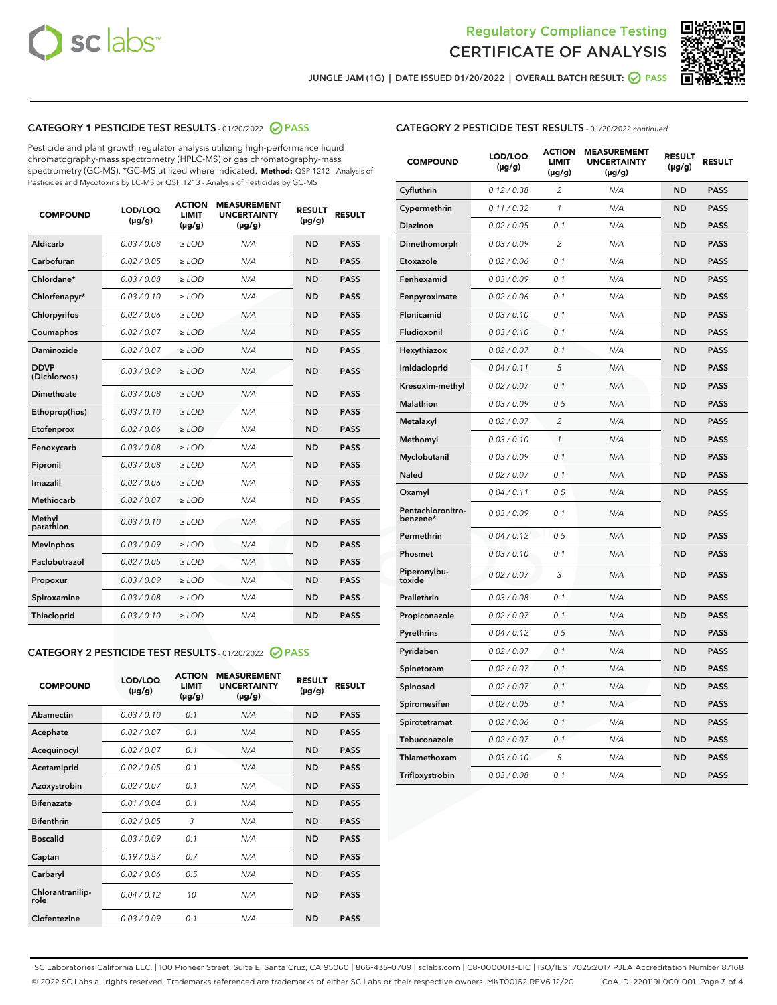



JUNGLE JAM (1G) | DATE ISSUED 01/20/2022 | OVERALL BATCH RESULT:  $\bigcirc$  PASS

# CATEGORY 1 PESTICIDE TEST RESULTS - 01/20/2022 2 PASS

Pesticide and plant growth regulator analysis utilizing high-performance liquid chromatography-mass spectrometry (HPLC-MS) or gas chromatography-mass spectrometry (GC-MS). \*GC-MS utilized where indicated. **Method:** QSP 1212 - Analysis of Pesticides and Mycotoxins by LC-MS or QSP 1213 - Analysis of Pesticides by GC-MS

| <b>COMPOUND</b>             | LOD/LOQ<br>$(\mu g/g)$ | <b>ACTION</b><br><b>LIMIT</b><br>$(\mu g/g)$ | <b>MEASUREMENT</b><br><b>UNCERTAINTY</b><br>$(\mu g/g)$ | <b>RESULT</b><br>$(\mu g/g)$ | <b>RESULT</b> |
|-----------------------------|------------------------|----------------------------------------------|---------------------------------------------------------|------------------------------|---------------|
| Aldicarb                    | 0.03 / 0.08            | $\ge$ LOD                                    | N/A                                                     | <b>ND</b>                    | <b>PASS</b>   |
| Carbofuran                  | 0.02 / 0.05            | $\ge$ LOD                                    | N/A                                                     | <b>ND</b>                    | <b>PASS</b>   |
| Chlordane*                  | 0.03 / 0.08            | $\ge$ LOD                                    | N/A                                                     | <b>ND</b>                    | <b>PASS</b>   |
| Chlorfenapyr*               | 0.03/0.10              | $\ge$ LOD                                    | N/A                                                     | <b>ND</b>                    | <b>PASS</b>   |
| Chlorpyrifos                | 0.02 / 0.06            | $\ge$ LOD                                    | N/A                                                     | <b>ND</b>                    | <b>PASS</b>   |
| Coumaphos                   | 0.02 / 0.07            | $\ge$ LOD                                    | N/A                                                     | <b>ND</b>                    | <b>PASS</b>   |
| Daminozide                  | 0.02/0.07              | $\ge$ LOD                                    | N/A                                                     | <b>ND</b>                    | <b>PASS</b>   |
| <b>DDVP</b><br>(Dichlorvos) | 0.03/0.09              | $>$ LOD                                      | N/A                                                     | <b>ND</b>                    | <b>PASS</b>   |
| Dimethoate                  | 0.03 / 0.08            | $\ge$ LOD                                    | N/A                                                     | <b>ND</b>                    | <b>PASS</b>   |
| Ethoprop(hos)               | 0.03/0.10              | $>$ LOD                                      | N/A                                                     | <b>ND</b>                    | <b>PASS</b>   |
| Etofenprox                  | 0.02 / 0.06            | $\ge$ LOD                                    | N/A                                                     | <b>ND</b>                    | <b>PASS</b>   |
| Fenoxycarb                  | 0.03 / 0.08            | $\ge$ LOD                                    | N/A                                                     | <b>ND</b>                    | <b>PASS</b>   |
| Fipronil                    | 0.03/0.08              | $>$ LOD                                      | N/A                                                     | <b>ND</b>                    | <b>PASS</b>   |
| Imazalil                    | 0.02 / 0.06            | $\ge$ LOD                                    | N/A                                                     | <b>ND</b>                    | <b>PASS</b>   |
| Methiocarb                  | 0.02 / 0.07            | $\ge$ LOD                                    | N/A                                                     | <b>ND</b>                    | <b>PASS</b>   |
| Methyl<br>parathion         | 0.03/0.10              | $\ge$ LOD                                    | N/A                                                     | <b>ND</b>                    | <b>PASS</b>   |
| <b>Mevinphos</b>            | 0.03/0.09              | $\ge$ LOD                                    | N/A                                                     | <b>ND</b>                    | <b>PASS</b>   |
| Paclobutrazol               | 0.02 / 0.05            | $\ge$ LOD                                    | N/A                                                     | <b>ND</b>                    | <b>PASS</b>   |
| Propoxur                    | 0.03/0.09              | $\ge$ LOD                                    | N/A                                                     | <b>ND</b>                    | <b>PASS</b>   |
| Spiroxamine                 | 0.03 / 0.08            | $\ge$ LOD                                    | N/A                                                     | <b>ND</b>                    | <b>PASS</b>   |
| Thiacloprid                 | 0.03/0.10              | $\ge$ LOD                                    | N/A                                                     | <b>ND</b>                    | <b>PASS</b>   |

#### CATEGORY 2 PESTICIDE TEST RESULTS - 01/20/2022 2 PASS

| <b>COMPOUND</b>          | LOD/LOO<br>$(\mu g/g)$ | <b>ACTION</b><br>LIMIT<br>$(\mu g/g)$ | <b>MEASUREMENT</b><br><b>UNCERTAINTY</b><br>$(\mu g/g)$ | <b>RESULT</b><br>$(\mu g/g)$ | <b>RESULT</b> |  |
|--------------------------|------------------------|---------------------------------------|---------------------------------------------------------|------------------------------|---------------|--|
| Abamectin                | 0.03/0.10              | 0.1                                   | N/A                                                     | <b>ND</b>                    | <b>PASS</b>   |  |
| Acephate                 | 0.02/0.07              | 0.1                                   | N/A                                                     | <b>ND</b>                    | <b>PASS</b>   |  |
| Acequinocyl              | 0.02/0.07              | 0.1                                   | N/A                                                     | <b>ND</b>                    | <b>PASS</b>   |  |
| Acetamiprid              | 0.02 / 0.05            | 0.1                                   | N/A                                                     | <b>ND</b>                    | <b>PASS</b>   |  |
| Azoxystrobin             | 0.02/0.07              | 0.1                                   | N/A                                                     | <b>ND</b>                    | <b>PASS</b>   |  |
| <b>Bifenazate</b>        | 0.01 / 0.04            | 0.1                                   | N/A                                                     | <b>ND</b>                    | <b>PASS</b>   |  |
| <b>Bifenthrin</b>        | 0.02/0.05              | 3                                     | N/A                                                     | <b>ND</b>                    | <b>PASS</b>   |  |
| <b>Boscalid</b>          | 0.03/0.09              | 0.1                                   | N/A                                                     | <b>ND</b>                    | <b>PASS</b>   |  |
| Captan                   | 0.19/0.57              | 0.7                                   | N/A                                                     | <b>ND</b>                    | <b>PASS</b>   |  |
| Carbaryl                 | 0.02/0.06              | 0.5                                   | N/A                                                     | <b>ND</b>                    | <b>PASS</b>   |  |
| Chlorantranilip-<br>role | 0.04/0.12              | 10                                    | N/A                                                     | <b>ND</b>                    | <b>PASS</b>   |  |
| Clofentezine             | 0.03/0.09              | 0.1                                   | N/A                                                     | <b>ND</b>                    | <b>PASS</b>   |  |

| <b>CATEGORY 2 PESTICIDE TEST RESULTS</b> - 01/20/2022 continued |  |  |
|-----------------------------------------------------------------|--|--|
|                                                                 |  |  |

| <b>COMPOUND</b>               | LOD/LOQ<br>(µg/g) | <b>ACTION</b><br>LIMIT<br>(µg/g) | <b>MEASUREMENT</b><br><b>UNCERTAINTY</b><br>$(\mu g/g)$ | <b>RESULT</b><br>(µg/g) | <b>RESULT</b> |
|-------------------------------|-------------------|----------------------------------|---------------------------------------------------------|-------------------------|---------------|
| Cyfluthrin                    | 0.12 / 0.38       | $\overline{c}$                   | N/A                                                     | ND                      | <b>PASS</b>   |
| Cypermethrin                  | 0.11/0.32         | 1                                | N/A                                                     | ND                      | <b>PASS</b>   |
| <b>Diazinon</b>               | 0.02 / 0.05       | 0.1                              | N/A                                                     | ND                      | <b>PASS</b>   |
| Dimethomorph                  | 0.03 / 0.09       | 2                                | N/A                                                     | <b>ND</b>               | <b>PASS</b>   |
| Etoxazole                     | 0.02 / 0.06       | 0.1                              | N/A                                                     | ND                      | <b>PASS</b>   |
| Fenhexamid                    | 0.03 / 0.09       | 0.1                              | N/A                                                     | <b>ND</b>               | <b>PASS</b>   |
| Fenpyroximate                 | 0.02 / 0.06       | 0.1                              | N/A                                                     | ND                      | <b>PASS</b>   |
| Flonicamid                    | 0.03 / 0.10       | 0.1                              | N/A                                                     | ND                      | <b>PASS</b>   |
| Fludioxonil                   | 0.03 / 0.10       | 0.1                              | N/A                                                     | ND                      | <b>PASS</b>   |
| Hexythiazox                   | 0.02 / 0.07       | 0.1                              | N/A                                                     | ND                      | <b>PASS</b>   |
| Imidacloprid                  | 0.04 / 0.11       | 5                                | N/A                                                     | ND                      | <b>PASS</b>   |
| Kresoxim-methyl               | 0.02 / 0.07       | 0.1                              | N/A                                                     | ND                      | <b>PASS</b>   |
| Malathion                     | 0.03 / 0.09       | 0.5                              | N/A                                                     | <b>ND</b>               | <b>PASS</b>   |
| Metalaxyl                     | 0.02 / 0.07       | $\overline{c}$                   | N/A                                                     | ND                      | <b>PASS</b>   |
| Methomyl                      | 0.03 / 0.10       | 1                                | N/A                                                     | <b>ND</b>               | <b>PASS</b>   |
| Myclobutanil                  | 0.03 / 0.09       | 0.1                              | N/A                                                     | <b>ND</b>               | <b>PASS</b>   |
| Naled                         | 0.02 / 0.07       | 0.1                              | N/A                                                     | <b>ND</b>               | <b>PASS</b>   |
| Oxamyl                        | 0.04 / 0.11       | 0.5                              | N/A                                                     | <b>ND</b>               | <b>PASS</b>   |
| Pentachloronitro-<br>benzene* | 0.03/0.09         | 0.1                              | N/A                                                     | ND                      | <b>PASS</b>   |
| Permethrin                    | 0.04 / 0.12       | 0.5                              | N/A                                                     | <b>ND</b>               | <b>PASS</b>   |
| Phosmet                       | 0.03 / 0.10       | 0.1                              | N/A                                                     | ND                      | <b>PASS</b>   |
| Piperonylbu-<br>toxide        | 0.02 / 0.07       | 3                                | N/A                                                     | <b>ND</b>               | <b>PASS</b>   |
| Prallethrin                   | 0.03 / 0.08       | 0.1                              | N/A                                                     | ND                      | <b>PASS</b>   |
| Propiconazole                 | 0.02 / 0.07       | 0.1                              | N/A                                                     | <b>ND</b>               | <b>PASS</b>   |
| Pyrethrins                    | 0.04 / 0.12       | 0.5                              | N/A                                                     | ND                      | <b>PASS</b>   |
| Pyridaben                     | 0.02 / 0.07       | 0.1                              | N/A                                                     | ND                      | <b>PASS</b>   |
| Spinetoram                    | 0.02 / 0.07       | 0.1                              | N/A                                                     | <b>ND</b>               | <b>PASS</b>   |
| Spinosad                      | 0.02 / 0.07       | 0.1                              | N/A                                                     | <b>ND</b>               | <b>PASS</b>   |
| Spiromesifen                  | 0.02 / 0.05       | 0.1                              | N/A                                                     | ND                      | <b>PASS</b>   |
| Spirotetramat                 | 0.02 / 0.06       | 0.1                              | N/A                                                     | ND                      | <b>PASS</b>   |
| Tebuconazole                  | 0.02 / 0.07       | 0.1                              | N/A                                                     | ND                      | <b>PASS</b>   |
| Thiamethoxam                  | 0.03 / 0.10       | 5                                | N/A                                                     | ND                      | <b>PASS</b>   |
| Trifloxystrobin               | 0.03 / 0.08       | 0.1                              | N/A                                                     | ND                      | <b>PASS</b>   |

SC Laboratories California LLC. | 100 Pioneer Street, Suite E, Santa Cruz, CA 95060 | 866-435-0709 | sclabs.com | C8-0000013-LIC | ISO/IES 17025:2017 PJLA Accreditation Number 87168 © 2022 SC Labs all rights reserved. Trademarks referenced are trademarks of either SC Labs or their respective owners. MKT00162 REV6 12/20 CoA ID: 220119L009-001 Page 3 of 4